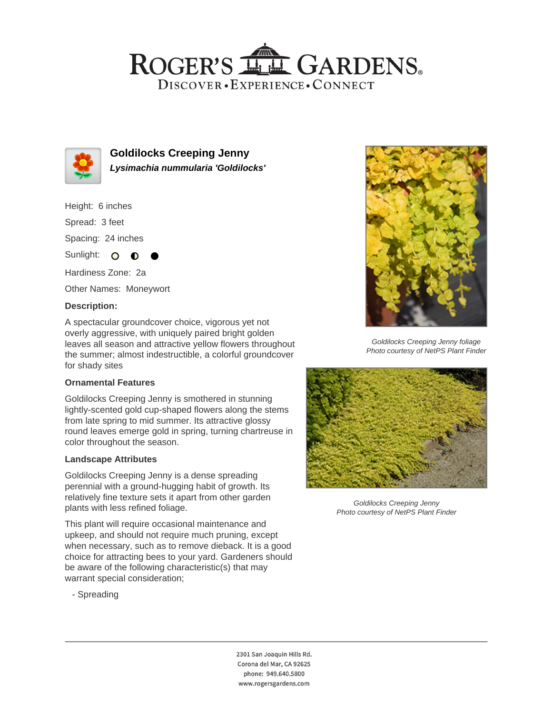## ROGER'S LL GARDENS. DISCOVER · EXPERIENCE · CONNECT



**Goldilocks Creeping Jenny Lysimachia nummularia 'Goldilocks'**

Height: 6 inches

Spread: 3 feet

Spacing: 24 inches

Sunlight:  $\circ$ ∩

Hardiness Zone: 2a

Other Names: Moneywort

#### **Description:**

A spectacular groundcover choice, vigorous yet not overly aggressive, with uniquely paired bright golden leaves all season and attractive yellow flowers throughout the summer; almost indestructible, a colorful groundcover for shady sites

### **Ornamental Features**

Goldilocks Creeping Jenny is smothered in stunning lightly-scented gold cup-shaped flowers along the stems from late spring to mid summer. Its attractive glossy round leaves emerge gold in spring, turning chartreuse in color throughout the season.

#### **Landscape Attributes**

Goldilocks Creeping Jenny is a dense spreading perennial with a ground-hugging habit of growth. Its relatively fine texture sets it apart from other garden plants with less refined foliage.

This plant will require occasional maintenance and upkeep, and should not require much pruning, except when necessary, such as to remove dieback. It is a good choice for attracting bees to your yard. Gardeners should be aware of the following characteristic(s) that may warrant special consideration;

- Spreading



Goldilocks Creeping Jenny foliage Photo courtesy of NetPS Plant Finder



Goldilocks Creeping Jenny Photo courtesy of NetPS Plant Finder

2301 San Joaquin Hills Rd. Corona del Mar, CA 92625 phone: 949.640.5800 www.rogersgardens.com